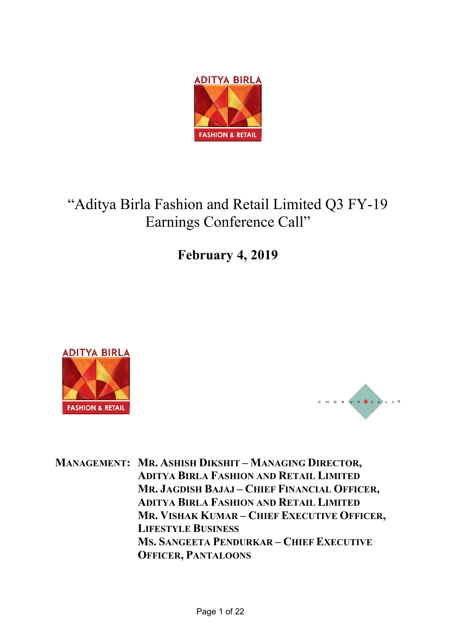

# "Aditya Birla Fashion and Retail Limited Q3 FY-19 Earnings Conference Call"

**February 4, 2019**





**MANAGEMENT: MR. ASHISH DIKSHIT – MANAGING DIRECTOR, ADITYA BIRLA FASHION AND RETAIL LIMITED MR. JAGDISH BAJAJ – CHIEF FINANCIAL OFFICER, ADITYA BIRLA FASHION AND RETAIL LIMITED MR. VISHAK KUMAR – CHIEF EXECUTIVE OFFICER, LIFESTYLE BUSINESS MS. SANGEETA PENDURKAR – CHIEF EXECUTIVE OFFICER, PANTALOONS**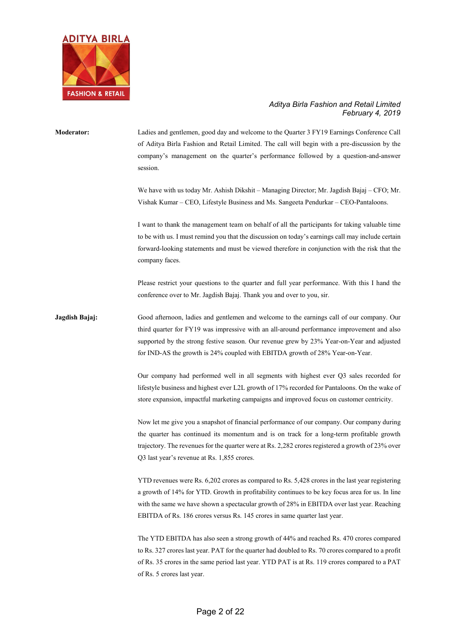

**Moderator:** Ladies and gentlemen, good day and welcome to the Quarter 3 FY19 Earnings Conference Call of Aditya Birla Fashion and Retail Limited. The call will begin with a pre-discussion by the company's management on the quarter's performance followed by a question-and-answer session.

> We have with us today Mr. Ashish Dikshit – Managing Director; Mr. Jagdish Bajaj – CFO; Mr. Vishak Kumar – CEO, Lifestyle Business and Ms. Sangeeta Pendurkar – CEO-Pantaloons.

> I want to thank the management team on behalf of all the participants for taking valuable time to be with us. I must remind you that the discussion on today's earnings call may include certain forward-looking statements and must be viewed therefore in conjunction with the risk that the company faces.

> Please restrict your questions to the quarter and full year performance. With this I hand the conference over to Mr. Jagdish Bajaj. Thank you and over to you, sir.

**Jagdish Bajaj:** Good afternoon, ladies and gentlemen and welcome to the earnings call of our company. Our third quarter for FY19 was impressive with an all-around performance improvement and also supported by the strong festive season. Our revenue grew by 23% Year-on-Year and adjusted for IND-AS the growth is 24% coupled with EBITDA growth of 28% Year-on-Year.

> Our company had performed well in all segments with highest ever Q3 sales recorded for lifestyle business and highest ever L2L growth of 17% recorded for Pantaloons. On the wake of store expansion, impactful marketing campaigns and improved focus on customer centricity.

> Now let me give you a snapshot of financial performance of our company. Our company during the quarter has continued its momentum and is on track for a long-term profitable growth trajectory. The revenues for the quarter were at Rs. 2,282 crores registered a growth of 23% over Q3 last year's revenue at Rs. 1,855 crores.

> YTD revenues were Rs. 6,202 crores as compared to Rs. 5,428 crores in the last year registering a growth of 14% for YTD. Growth in profitability continues to be key focus area for us. In line with the same we have shown a spectacular growth of 28% in EBITDA over last year. Reaching EBITDA of Rs. 186 crores versus Rs. 145 crores in same quarter last year.

> The YTD EBITDA has also seen a strong growth of 44% and reached Rs. 470 crores compared to Rs. 327 crores last year. PAT for the quarter had doubled to Rs. 70 crores compared to a profit of Rs. 35 crores in the same period last year. YTD PAT is at Rs. 119 crores compared to a PAT of Rs. 5 crores last year.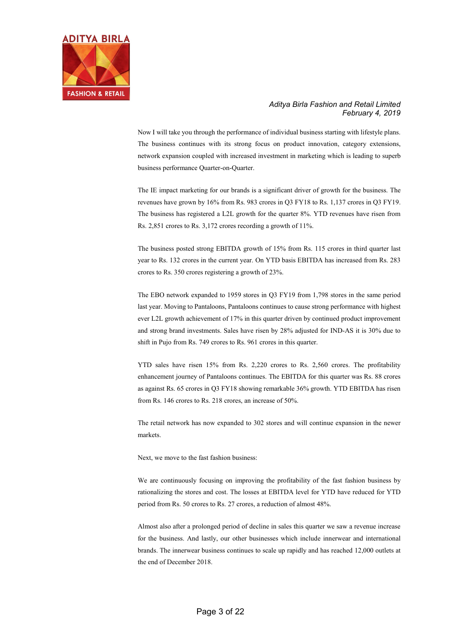

Now I will take you through the performance of individual business starting with lifestyle plans. The business continues with its strong focus on product innovation, category extensions, network expansion coupled with increased investment in marketing which is leading to superb business performance Quarter-on-Quarter.

The IE impact marketing for our brands is a significant driver of growth for the business. The revenues have grown by 16% from Rs. 983 crores in Q3 FY18 to Rs. 1,137 crores in Q3 FY19. The business has registered a L2L growth for the quarter 8%. YTD revenues have risen from Rs. 2,851 crores to Rs. 3,172 crores recording a growth of 11%.

The business posted strong EBITDA growth of 15% from Rs. 115 crores in third quarter last year to Rs. 132 crores in the current year. On YTD basis EBITDA has increased from Rs. 283 crores to Rs. 350 crores registering a growth of 23%.

The EBO network expanded to 1959 stores in Q3 FY19 from 1,798 stores in the same period last year. Moving to Pantaloons, Pantaloons continues to cause strong performance with highest ever L2L growth achievement of 17% in this quarter driven by continued product improvement and strong brand investments. Sales have risen by 28% adjusted for IND-AS it is 30% due to shift in Pujo from Rs. 749 crores to Rs. 961 crores in this quarter.

YTD sales have risen 15% from Rs. 2,220 crores to Rs. 2,560 crores. The profitability enhancement journey of Pantaloons continues. The EBITDA for this quarter was Rs. 88 crores as against Rs. 65 crores in Q3 FY18 showing remarkable 36% growth. YTD EBITDA has risen from Rs. 146 crores to Rs. 218 crores, an increase of 50%.

The retail network has now expanded to 302 stores and will continue expansion in the newer markets.

Next, we move to the fast fashion business:

We are continuously focusing on improving the profitability of the fast fashion business by rationalizing the stores and cost. The losses at EBITDA level for YTD have reduced for YTD period from Rs. 50 crores to Rs. 27 crores, a reduction of almost 48%.

Almost also after a prolonged period of decline in sales this quarter we saw a revenue increase for the business. And lastly, our other businesses which include innerwear and international brands. The innerwear business continues to scale up rapidly and has reached 12,000 outlets at the end of December 2018.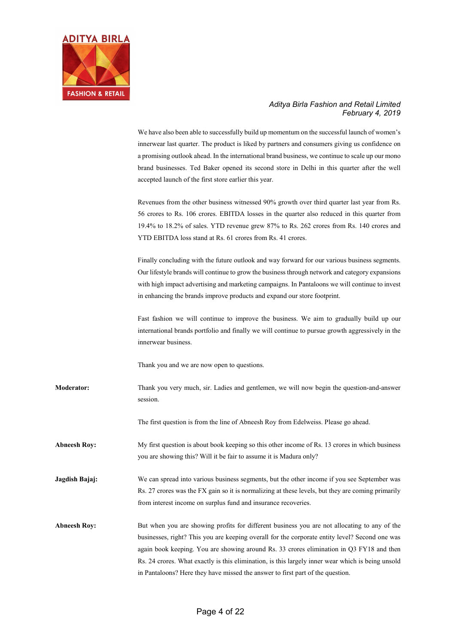

We have also been able to successfully build up momentum on the successful launch of women's innerwear last quarter. The product is liked by partners and consumers giving us confidence on a promising outlook ahead. In the international brand business, we continue to scale up our mono brand businesses. Ted Baker opened its second store in Delhi in this quarter after the well accepted launch of the first store earlier this year.

Revenues from the other business witnessed 90% growth over third quarter last year from Rs. 56 crores to Rs. 106 crores. EBITDA losses in the quarter also reduced in this quarter from 19.4% to 18.2% of sales. YTD revenue grew 87% to Rs. 262 crores from Rs. 140 crores and YTD EBITDA loss stand at Rs. 61 crores from Rs. 41 crores.

Finally concluding with the future outlook and way forward for our various business segments. Our lifestyle brands will continue to grow the business through network and category expansions with high impact advertising and marketing campaigns. In Pantaloons we will continue to invest in enhancing the brands improve products and expand our store footprint.

Fast fashion we will continue to improve the business. We aim to gradually build up our international brands portfolio and finally we will continue to pursue growth aggressively in the innerwear business.

Thank you and we are now open to questions.

**Moderator:** Thank you very much, sir. Ladies and gentlemen, we will now begin the question-and-answer session.

The first question is from the line of Abneesh Roy from Edelweiss. Please go ahead.

**Abneesh Roy:** My first question is about book keeping so this other income of Rs. 13 crores in which business you are showing this? Will it be fair to assume it is Madura only?

**Jagdish Bajaj:** We can spread into various business segments, but the other income if you see September was Rs. 27 crores was the FX gain so it is normalizing at these levels, but they are coming primarily from interest income on surplus fund and insurance recoveries.

**Abneesh Roy:** But when you are showing profits for different business you are not allocating to any of the businesses, right? This you are keeping overall for the corporate entity level? Second one was again book keeping. You are showing around Rs. 33 crores elimination in Q3 FY18 and then Rs. 24 crores. What exactly is this elimination, is this largely inner wear which is being unsold in Pantaloons? Here they have missed the answer to first part of the question.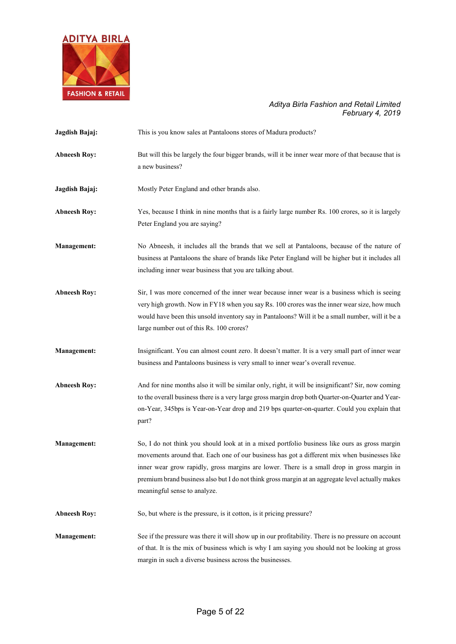

| Jagdish Bajaj:      | This is you know sales at Pantaloons stores of Madura products?                                                                                                                                                                                                                                                                                                                                                                 |
|---------------------|---------------------------------------------------------------------------------------------------------------------------------------------------------------------------------------------------------------------------------------------------------------------------------------------------------------------------------------------------------------------------------------------------------------------------------|
| <b>Abneesh Roy:</b> | But will this be largely the four bigger brands, will it be inner wear more of that because that is<br>a new business?                                                                                                                                                                                                                                                                                                          |
| Jagdish Bajaj:      | Mostly Peter England and other brands also.                                                                                                                                                                                                                                                                                                                                                                                     |
| <b>Abneesh Roy:</b> | Yes, because I think in nine months that is a fairly large number Rs. 100 crores, so it is largely<br>Peter England you are saying?                                                                                                                                                                                                                                                                                             |
| <b>Management:</b>  | No Abneesh, it includes all the brands that we sell at Pantaloons, because of the nature of<br>business at Pantaloons the share of brands like Peter England will be higher but it includes all<br>including inner wear business that you are talking about.                                                                                                                                                                    |
| <b>Abneesh Roy:</b> | Sir, I was more concerned of the inner wear because inner wear is a business which is seeing<br>very high growth. Now in FY18 when you say Rs. 100 crores was the inner wear size, how much<br>would have been this unsold inventory say in Pantaloons? Will it be a small number, will it be a<br>large number out of this Rs. 100 crores?                                                                                     |
| <b>Management:</b>  | Insignificant. You can almost count zero. It doesn't matter. It is a very small part of inner wear<br>business and Pantaloons business is very small to inner wear's overall revenue.                                                                                                                                                                                                                                           |
| <b>Abneesh Roy:</b> | And for nine months also it will be similar only, right, it will be insignificant? Sir, now coming<br>to the overall business there is a very large gross margin drop both Quarter-on-Quarter and Year-<br>on-Year, 345bps is Year-on-Year drop and 219 bps quarter-on-quarter. Could you explain that<br>part?                                                                                                                 |
| <b>Management:</b>  | So, I do not think you should look at in a mixed portfolio business like ours as gross margin<br>movements around that. Each one of our business has got a different mix when businesses like<br>inner wear grow rapidly, gross margins are lower. There is a small drop in gross margin in<br>premium brand business also but I do not think gross margin at an aggregate level actually makes<br>meaningful sense to analyze. |
| <b>Abneesh Roy:</b> | So, but where is the pressure, is it cotton, is it pricing pressure?                                                                                                                                                                                                                                                                                                                                                            |
| <b>Management:</b>  | See if the pressure was there it will show up in our profitability. There is no pressure on account<br>of that. It is the mix of business which is why I am saying you should not be looking at gross<br>margin in such a diverse business across the businesses.                                                                                                                                                               |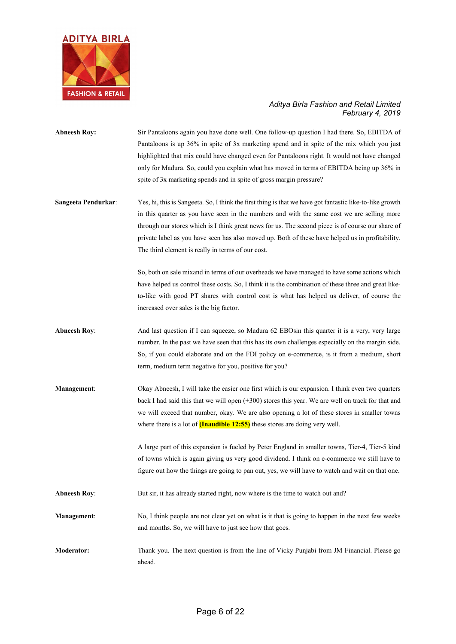

- **Abneesh Roy:** Sir Pantaloons again you have done well. One follow-up question I had there. So, EBITDA of Pantaloons is up 36% in spite of 3x marketing spend and in spite of the mix which you just highlighted that mix could have changed even for Pantaloons right. It would not have changed only for Madura. So, could you explain what has moved in terms of EBITDA being up 36% in spite of 3x marketing spends and in spite of gross margin pressure?
- **Sangeeta Pendurkar**: Yes, hi, this is Sangeeta. So, I think the first thing is that we have got fantastic like-to-like growth in this quarter as you have seen in the numbers and with the same cost we are selling more through our stores which is I think great news for us. The second piece is of course our share of private label as you have seen has also moved up. Both of these have helped us in profitability. The third element is really in terms of our cost.

So, both on sale mixand in terms of our overheads we have managed to have some actions which have helped us control these costs. So, I think it is the combination of these three and great liketo-like with good PT shares with control cost is what has helped us deliver, of course the increased over sales is the big factor.

- **Abneesh Roy:** And last question if I can squeeze, so Madura 62 EBOsin this quarter it is a very, very large number. In the past we have seen that this has its own challenges especially on the margin side. So, if you could elaborate and on the FDI policy on e-commerce, is it from a medium, short term, medium term negative for you, positive for you?
- **Management**: Okay Abneesh, I will take the easier one first which is our expansion. I think even two quarters back I had said this that we will open (+300) stores this year. We are well on track for that and we will exceed that number, okay. We are also opening a lot of these stores in smaller towns where there is a lot of **(Inaudible 12:55)** these stores are doing very well.

A large part of this expansion is fueled by Peter England in smaller towns, Tier-4, Tier-5 kind of towns which is again giving us very good dividend. I think on e-commerce we still have to figure out how the things are going to pan out, yes, we will have to watch and wait on that one.

- **Abneesh Roy:** But sir, it has already started right, now where is the time to watch out and?
- **Management:** No, I think people are not clear yet on what is it that is going to happen in the next few weeks and months. So, we will have to just see how that goes.
- **Moderator:** Thank you. The next question is from the line of Vicky Punjabi from JM Financial. Please go ahead.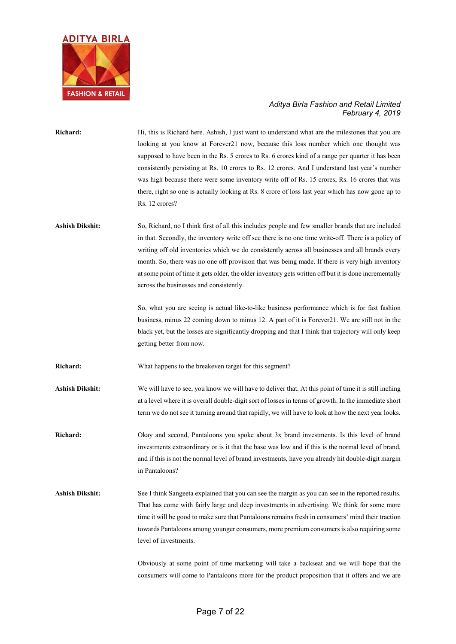

**Richard:** Hi, this is Richard here. Ashish, I just want to understand what are the milestones that you are looking at you know at Forever21 now, because this loss number which one thought was supposed to have been in the Rs. 5 crores to Rs. 6 crores kind of a range per quarter it has been consistently persisting at Rs. 10 crores to Rs. 12 crores. And I understand last year's number was high because there were some inventory write off of Rs. 15 crores, Rs. 16 crores that was there, right so one is actually looking at Rs. 8 crore of loss last year which has now gone up to Rs. 12 crores?

**Ashish Dikshit:** So, Richard, no I think first of all this includes people and few smaller brands that are included in that. Secondly, the inventory write off see there is no one time write-off. There is a policy of writing off old inventories which we do consistently across all businesses and all brands every month. So, there was no one off provision that was being made. If there is very high inventory at some point of time it gets older, the older inventory gets written off but it is done incrementally across the businesses and consistently.

> So, what you are seeing is actual like-to-like business performance which is for fast fashion business, minus 22 coming down to minus 12. A part of it is Forever21. We are still not in the black yet, but the losses are significantly dropping and that I think that trajectory will only keep getting better from now.

**Richard:** What happens to the breakeven target for this segment?

**Ashish Dikshit:** We will have to see, you know we will have to deliver that. At this point of time it is still inching at a level where it is overall double-digit sort of losses in terms of growth. In the immediate short term we do not see it turning around that rapidly, we will have to look at how the next year looks.

**Richard:** Okay and second, Pantaloons you spoke about 3x brand investments. Is this level of brand investments extraordinary or is it that the base was low and if this is the normal level of brand, and if this is not the normal level of brand investments, have you already hit double-digit margin in Pantaloons?

Ashish Dikshit: See I think Sangeeta explained that you can see the margin as you can see in the reported results. That has come with fairly large and deep investments in advertising. We think for some more time it will be good to make sure that Pantaloons remains fresh in consumers' mind their traction towards Pantaloons among younger consumers, more premium consumers is also requiring some level of investments.

> Obviously at some point of time marketing will take a backseat and we will hope that the consumers will come to Pantaloons more for the product proposition that it offers and we are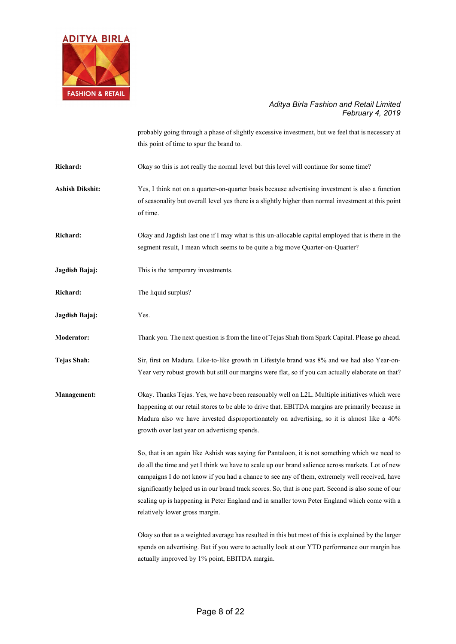

probably going through a phase of slightly excessive investment, but we feel that is necessary at this point of time to spur the brand to.

Richard: Okay so this is not really the normal level but this level will continue for some time?

- **Ashish Dikshit:** Yes, I think not on a quarter-on-quarter basis because advertising investment is also a function of seasonality but overall level yes there is a slightly higher than normal investment at this point of time.
- **Richard:** Okay and Jagdish last one if I may what is this un-allocable capital employed that is there in the segment result, I mean which seems to be quite a big move Quarter-on-Quarter?
- **Jagdish Bajaj:** This is the temporary investments.
- **Richard:** The liquid surplus?
- **Jagdish Bajaj:** Yes.
- **Moderator:** Thank you. The next question is from the line of Tejas Shah from Spark Capital. Please go ahead.
- **Tejas Shah:** Sir, first on Madura. Like-to-like growth in Lifestyle brand was 8% and we had also Year-on-Year very robust growth but still our margins were flat, so if you can actually elaborate on that?
- **Management:** Okay. Thanks Tejas. Yes, we have been reasonably well on L2L. Multiple initiatives which were happening at our retail stores to be able to drive that. EBITDA margins are primarily because in Madura also we have invested disproportionately on advertising, so it is almost like a 40% growth over last year on advertising spends.

So, that is an again like Ashish was saying for Pantaloon, it is not something which we need to do all the time and yet I think we have to scale up our brand salience across markets. Lot of new campaigns I do not know if you had a chance to see any of them, extremely well received, have significantly helped us in our brand track scores. So, that is one part. Second is also some of our scaling up is happening in Peter England and in smaller town Peter England which come with a relatively lower gross margin.

Okay so that as a weighted average has resulted in this but most of this is explained by the larger spends on advertising. But if you were to actually look at our YTD performance our margin has actually improved by 1% point, EBITDA margin.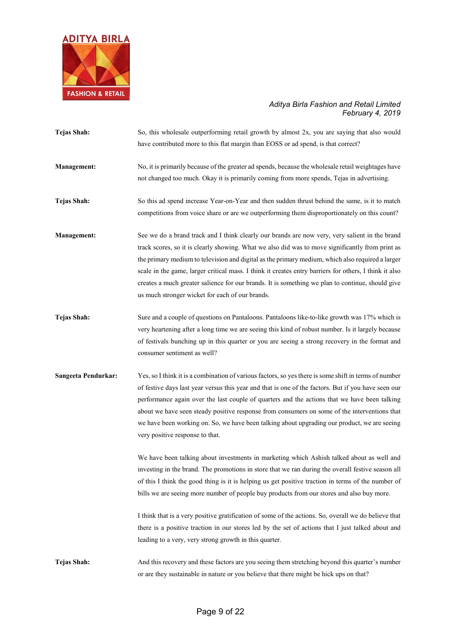

| <b>Tejas Shah:</b>  | So, this wholesale outperforming retail growth by almost 2x, you are saying that also would<br>have contributed more to this flat margin than EOSS or ad spend, is that correct?                                                                                                                                                                                                                                                                                                                                                                                        |
|---------------------|-------------------------------------------------------------------------------------------------------------------------------------------------------------------------------------------------------------------------------------------------------------------------------------------------------------------------------------------------------------------------------------------------------------------------------------------------------------------------------------------------------------------------------------------------------------------------|
| Management:         | No, it is primarily because of the greater ad spends, because the wholesale retail weightages have<br>not changed too much. Okay it is primarily coming from more spends, Tejas in advertising.                                                                                                                                                                                                                                                                                                                                                                         |
| Tejas Shah:         | So this ad spend increase Year-on-Year and then sudden thrust behind the same, is it to match<br>competitions from voice share or are we outperforming them disproportionately on this count?                                                                                                                                                                                                                                                                                                                                                                           |
| <b>Management:</b>  | See we do a brand track and I think clearly our brands are now very, very salient in the brand<br>track scores, so it is clearly showing. What we also did was to move significantly from print as<br>the primary medium to television and digital as the primary medium, which also required a larger<br>scale in the game, larger critical mass. I think it creates entry barriers for others, I think it also<br>creates a much greater salience for our brands. It is something we plan to continue, should give<br>us much stronger wicket for each of our brands. |
| <b>Tejas Shah:</b>  | Sure and a couple of questions on Pantaloons. Pantaloons like-to-like growth was 17% which is<br>very heartening after a long time we are seeing this kind of robust number. Is it largely because<br>of festivals bunching up in this quarter or you are seeing a strong recovery in the format and<br>consumer sentiment as well?                                                                                                                                                                                                                                     |
| Sangeeta Pendurkar: | Yes, so I think it is a combination of various factors, so yes there is some shift in terms of number<br>of festive days last year versus this year and that is one of the factors. But if you have seen our<br>performance again over the last couple of quarters and the actions that we have been talking<br>about we have seen steady positive response from consumers on some of the interventions that<br>we have been working on. So, we have been talking about upgrading our product, we are seeing<br>very positive response to that.                         |
|                     | We have been talking about investments in marketing which Ashish talked about as well and<br>investing in the brand. The promotions in store that we ran during the overall festive season all<br>of this I think the good thing is it is helping us get positive traction in terms of the number of<br>bills we are seeing more number of people buy products from our stores and also buy more.                                                                                                                                                                       |
|                     | I think that is a very positive gratification of some of the actions. So, overall we do believe that<br>there is a positive traction in our stores led by the set of actions that I just talked about and<br>leading to a very, very strong growth in this quarter.                                                                                                                                                                                                                                                                                                     |
| <b>Tejas Shah:</b>  | And this recovery and these factors are you seeing them stretching beyond this quarter's number<br>or are they sustainable in nature or you believe that there might be hick ups on that?                                                                                                                                                                                                                                                                                                                                                                               |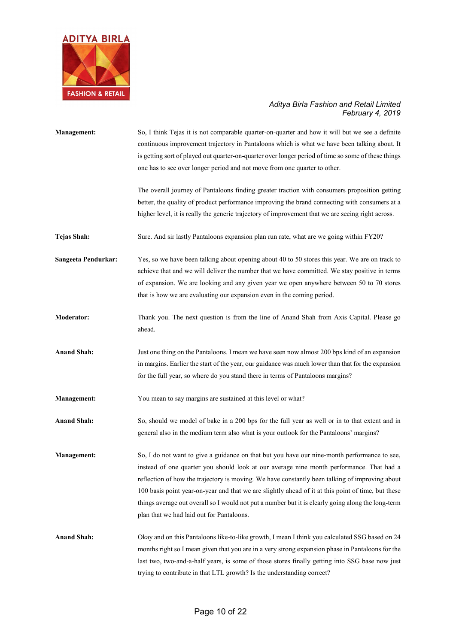

| <b>Management:</b>  | So, I think Tejas it is not comparable quarter-on-quarter and how it will but we see a definite<br>continuous improvement trajectory in Pantaloons which is what we have been talking about. It<br>is getting sort of played out quarter-on-quarter over longer period of time so some of these things<br>one has to see over longer period and not move from one quarter to other.                                                                                                                                                                 |
|---------------------|-----------------------------------------------------------------------------------------------------------------------------------------------------------------------------------------------------------------------------------------------------------------------------------------------------------------------------------------------------------------------------------------------------------------------------------------------------------------------------------------------------------------------------------------------------|
|                     | The overall journey of Pantaloons finding greater traction with consumers proposition getting<br>better, the quality of product performance improving the brand connecting with consumers at a<br>higher level, it is really the generic trajectory of improvement that we are seeing right across.                                                                                                                                                                                                                                                 |
| Tejas Shah:         | Sure. And sir lastly Pantaloons expansion plan run rate, what are we going within FY20?                                                                                                                                                                                                                                                                                                                                                                                                                                                             |
| Sangeeta Pendurkar: | Yes, so we have been talking about opening about 40 to 50 stores this year. We are on track to<br>achieve that and we will deliver the number that we have committed. We stay positive in terms<br>of expansion. We are looking and any given year we open anywhere between 50 to 70 stores<br>that is how we are evaluating our expansion even in the coming period.                                                                                                                                                                               |
| <b>Moderator:</b>   | Thank you. The next question is from the line of Anand Shah from Axis Capital. Please go<br>ahead.                                                                                                                                                                                                                                                                                                                                                                                                                                                  |
| <b>Anand Shah:</b>  | Just one thing on the Pantaloons. I mean we have seen now almost 200 bps kind of an expansion<br>in margins. Earlier the start of the year, our guidance was much lower than that for the expansion<br>for the full year, so where do you stand there in terms of Pantaloons margins?                                                                                                                                                                                                                                                               |
| <b>Management:</b>  | You mean to say margins are sustained at this level or what?                                                                                                                                                                                                                                                                                                                                                                                                                                                                                        |
| <b>Anand Shah:</b>  | So, should we model of bake in a 200 bps for the full year as well or in to that extent and in<br>general also in the medium term also what is your outlook for the Pantaloons' margins?                                                                                                                                                                                                                                                                                                                                                            |
| <b>Management:</b>  | So, I do not want to give a guidance on that but you have our nine-month performance to see,<br>instead of one quarter you should look at our average nine month performance. That had a<br>reflection of how the trajectory is moving. We have constantly been talking of improving about<br>100 basis point year-on-year and that we are slightly ahead of it at this point of time, but these<br>things average out overall so I would not put a number but it is clearly going along the long-term<br>plan that we had laid out for Pantaloons. |
| <b>Anand Shah:</b>  | Okay and on this Pantaloons like-to-like growth, I mean I think you calculated SSG based on 24<br>months right so I mean given that you are in a very strong expansion phase in Pantaloons for the<br>last two, two-and-a-half years, is some of those stores finally getting into SSG base now just<br>trying to contribute in that LTL growth? Is the understanding correct?                                                                                                                                                                      |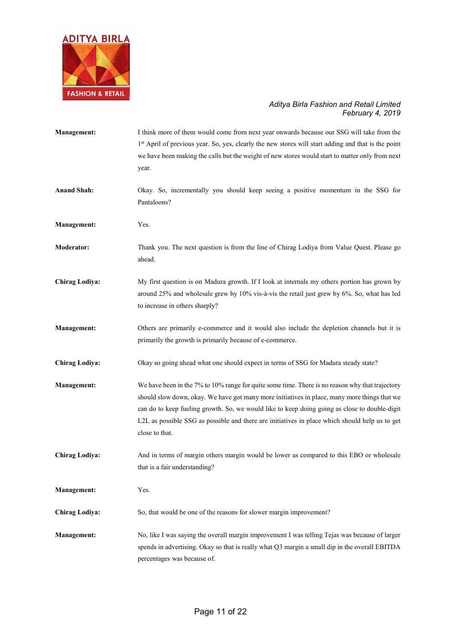

| <b>Management:</b>    | I think more of them would come from next year onwards because our SSG will take from the<br>1 <sup>st</sup> April of previous year. So, yes, clearly the new stores will start adding and that is the point<br>we have been making the calls but the weight of new stores would start to matter only from next<br>year.                                                                                             |
|-----------------------|----------------------------------------------------------------------------------------------------------------------------------------------------------------------------------------------------------------------------------------------------------------------------------------------------------------------------------------------------------------------------------------------------------------------|
| <b>Anand Shah:</b>    | Okay. So, incrementally you should keep seeing a positive momentum in the SSG for<br>Pantaloons?                                                                                                                                                                                                                                                                                                                     |
| <b>Management:</b>    | Yes.                                                                                                                                                                                                                                                                                                                                                                                                                 |
| <b>Moderator:</b>     | Thank you. The next question is from the line of Chirag Lodiya from Value Quest. Please go<br>ahead.                                                                                                                                                                                                                                                                                                                 |
| <b>Chirag Lodiya:</b> | My first question is on Madura growth. If I look at internals my others portion has grown by<br>around 25% and wholesale grew by 10% vis-à-vis the retail just grew by 6%. So, what has led<br>to increase in others sharply?                                                                                                                                                                                        |
| <b>Management:</b>    | Others are primarily e-commerce and it would also include the depletion channels but it is<br>primarily the growth is primarily because of e-commerce.                                                                                                                                                                                                                                                               |
| <b>Chirag Lodiya:</b> | Okay so going ahead what one should expect in terms of SSG for Madura steady state?                                                                                                                                                                                                                                                                                                                                  |
| <b>Management:</b>    | We have been in the 7% to 10% range for quite some time. There is no reason why that trajectory<br>should slow down, okay. We have got many more initiatives in place, many more things that we<br>can do to keep fueling growth. So, we would like to keep doing going as close to double-digit<br>L2L as possible SSG as possible and there are initiatives in place which should help us to get<br>close to that. |
| <b>Chirag Lodiya:</b> | And in terms of margin others margin would be lower as compared to this EBO or wholesale<br>that is a fair understanding?                                                                                                                                                                                                                                                                                            |
| <b>Management:</b>    | Yes.                                                                                                                                                                                                                                                                                                                                                                                                                 |
| <b>Chirag Lodiya:</b> | So, that would be one of the reasons for slower margin improvement?                                                                                                                                                                                                                                                                                                                                                  |
| <b>Management:</b>    | No, like I was saying the overall margin improvement I was telling Tejas was because of larger<br>spends in advertising. Okay so that is really what Q3 margin a small dip in the overall EBITDA<br>percentages was because of.                                                                                                                                                                                      |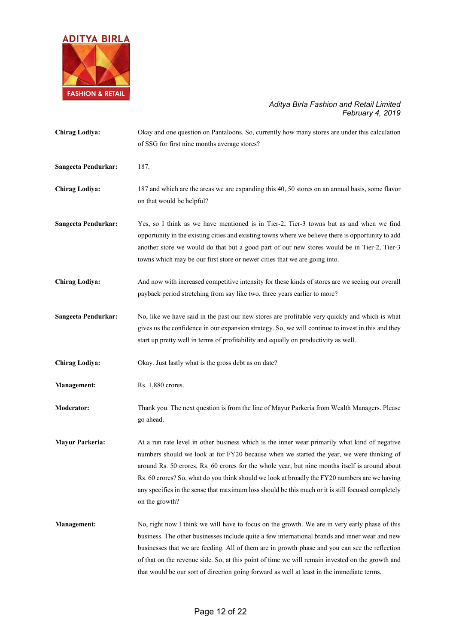

| <b>Chirag Lodiya:</b>      | Okay and one question on Pantaloons. So, currently how many stores are under this calculation<br>of SSG for first nine months average stores?                                                                                                                                                                                                                                                                                                                                                                        |
|----------------------------|----------------------------------------------------------------------------------------------------------------------------------------------------------------------------------------------------------------------------------------------------------------------------------------------------------------------------------------------------------------------------------------------------------------------------------------------------------------------------------------------------------------------|
| <b>Sangeeta Pendurkar:</b> | 187.                                                                                                                                                                                                                                                                                                                                                                                                                                                                                                                 |
| <b>Chirag Lodiya:</b>      | 187 and which are the areas we are expanding this 40, 50 stores on an annual basis, some flavor<br>on that would be helpful?                                                                                                                                                                                                                                                                                                                                                                                         |
| <b>Sangeeta Pendurkar:</b> | Yes, so I think as we have mentioned is in Tier-2, Tier-3 towns but as and when we find<br>opportunity in the existing cities and existing towns where we believe there is opportunity to add<br>another store we would do that but a good part of our new stores would be in Tier-2, Tier-3<br>towns which may be our first store or newer cities that we are going into.                                                                                                                                           |
| <b>Chirag Lodiya:</b>      | And now with increased competitive intensity for these kinds of stores are we seeing our overall<br>payback period stretching from say like two, three years earlier to more?                                                                                                                                                                                                                                                                                                                                        |
| <b>Sangeeta Pendurkar:</b> | No, like we have said in the past our new stores are profitable very quickly and which is what<br>gives us the confidence in our expansion strategy. So, we will continue to invest in this and they<br>start up pretty well in terms of profitability and equally on productivity as well.                                                                                                                                                                                                                          |
| <b>Chirag Lodiya:</b>      | Okay. Just lastly what is the gross debt as on date?                                                                                                                                                                                                                                                                                                                                                                                                                                                                 |
| <b>Management:</b>         | Rs. 1,880 crores.                                                                                                                                                                                                                                                                                                                                                                                                                                                                                                    |
| <b>Moderator:</b>          | Thank you. The next question is from the line of Mayur Parkeria from Wealth Managers. Please<br>go ahead.                                                                                                                                                                                                                                                                                                                                                                                                            |
| <b>Mayur Parkeria:</b>     | At a run rate level in other business which is the inner wear primarily what kind of negative<br>numbers should we look at for FY20 because when we started the year, we were thinking of<br>around Rs. 50 crores, Rs. 60 crores for the whole year, but nine months itself is around about<br>Rs. 60 crores? So, what do you think should we look at broadly the FY20 numbers are we having<br>any specifics in the sense that maximum loss should be this much or it is still focused completely<br>on the growth? |
| <b>Management:</b>         | No, right now I think we will have to focus on the growth. We are in very early phase of this<br>business. The other businesses include quite a few international brands and inner wear and new<br>businesses that we are feeding. All of them are in growth phase and you can see the reflection<br>of that on the revenue side. So, at this point of time we will remain invested on the growth and<br>that would be our sort of direction going forward as well at least in the immediate terms.                  |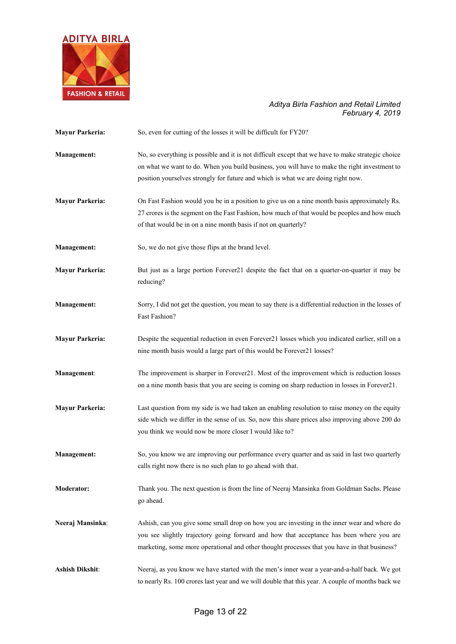

| <b>Mayur Parkeria:</b> | So, even for cutting of the losses it will be difficult for FY20?                                                                                                                                                                                                                        |
|------------------------|------------------------------------------------------------------------------------------------------------------------------------------------------------------------------------------------------------------------------------------------------------------------------------------|
| <b>Management:</b>     | No, so everything is possible and it is not difficult except that we have to make strategic choice<br>on what we want to do. When you build business, you will have to make the right investment to<br>position yourselves strongly for future and which is what we are doing right now. |
| <b>Mayur Parkeria:</b> | On Fast Fashion would you be in a position to give us on a nine month basis approximately Rs.<br>27 crores is the segment on the Fast Fashion, how much of that would be peoples and how much<br>of that would be in on a nine month basis if not on quarterly?                          |
| <b>Management:</b>     | So, we do not give those flips at the brand level.                                                                                                                                                                                                                                       |
| <b>Mayur Parkeria:</b> | But just as a large portion Forever21 despite the fact that on a quarter-on-quarter it may be<br>reducing?                                                                                                                                                                               |
| <b>Management:</b>     | Sorry, I did not get the question, you mean to say there is a differential reduction in the losses of<br>Fast Fashion?                                                                                                                                                                   |
| <b>Mayur Parkeria:</b> | Despite the sequential reduction in even Forever21 losses which you indicated earlier, still on a<br>nine month basis would a large part of this would be Forever21 losses?                                                                                                              |
| Management:            | The improvement is sharper in Forever21. Most of the improvement which is reduction losses<br>on a nine month basis that you are seeing is coming on sharp reduction in losses in Forever21.                                                                                             |
| <b>Mayur Parkeria:</b> | Last question from my side is we had taken an enabling resolution to raise money on the equity<br>side which we differ in the sense of us. So, now this share prices also improving above 200 do<br>you think we would now be more closer I would like to?                               |
| <b>Management:</b>     | So, you know we are improving our performance every quarter and as said in last two quarterly<br>calls right now there is no such plan to go ahead with that.                                                                                                                            |
| <b>Moderator:</b>      | Thank you. The next question is from the line of Neeraj Mansinka from Goldman Sachs. Please<br>go ahead.                                                                                                                                                                                 |
| Neeraj Mansinka:       | Ashish, can you give some small drop on how you are investing in the inner wear and where do<br>you see slightly trajectory going forward and how that acceptance has been where you are<br>marketing, some more operational and other thought processes that you have in that business? |
| <b>Ashish Dikshit:</b> | Neeraj, as you know we have started with the men's inner wear a year-and-a-half back. We got<br>to nearly Rs. 100 crores last year and we will double that this year. A couple of months back we                                                                                         |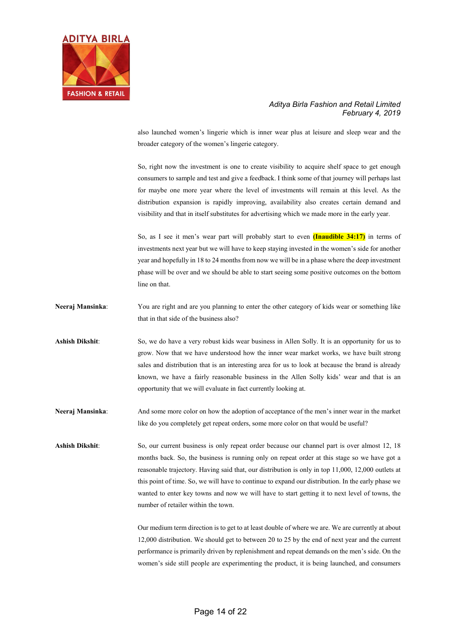

also launched women's lingerie which is inner wear plus at leisure and sleep wear and the broader category of the women's lingerie category.

So, right now the investment is one to create visibility to acquire shelf space to get enough consumers to sample and test and give a feedback. I think some of that journey will perhaps last for maybe one more year where the level of investments will remain at this level. As the distribution expansion is rapidly improving, availability also creates certain demand and visibility and that in itself substitutes for advertising which we made more in the early year.

So, as I see it men's wear part will probably start to even **(Inaudible 34:17)** in terms of investments next year but we will have to keep staying invested in the women's side for another year and hopefully in 18 to 24 months from now we will be in a phase where the deep investment phase will be over and we should be able to start seeing some positive outcomes on the bottom line on that.

**Neeraj Mansinka:** You are right and are you planning to enter the other category of kids wear or something like that in that side of the business also?

**Ashish Dikshit**: So, we do have a very robust kids wear business in Allen Solly. It is an opportunity for us to grow. Now that we have understood how the inner wear market works, we have built strong sales and distribution that is an interesting area for us to look at because the brand is already known, we have a fairly reasonable business in the Allen Solly kids' wear and that is an opportunity that we will evaluate in fact currently looking at.

**Neeraj Mansinka**: And some more color on how the adoption of acceptance of the men's inner wear in the market like do you completely get repeat orders, some more color on that would be useful?

**Ashish Dikshit**: So, our current business is only repeat order because our channel part is over almost 12, 18 months back. So, the business is running only on repeat order at this stage so we have got a reasonable trajectory. Having said that, our distribution is only in top 11,000, 12,000 outlets at this point of time. So, we will have to continue to expand our distribution. In the early phase we wanted to enter key towns and now we will have to start getting it to next level of towns, the number of retailer within the town.

> Our medium term direction is to get to at least double of where we are. We are currently at about 12,000 distribution. We should get to between 20 to 25 by the end of next year and the current performance is primarily driven by replenishment and repeat demands on the men's side. On the women's side still people are experimenting the product, it is being launched, and consumers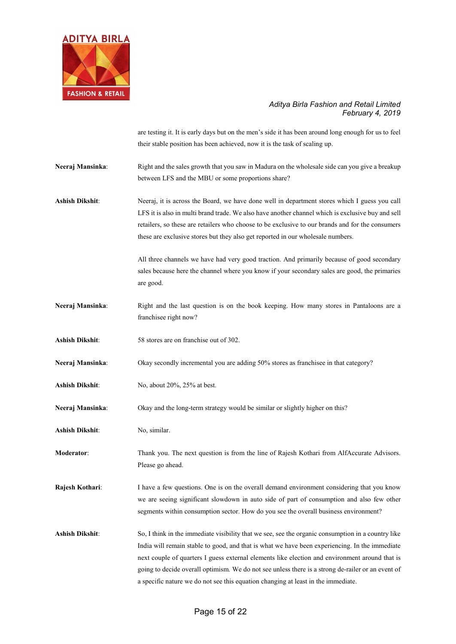

are testing it. It is early days but on the men's side it has been around long enough for us to feel their stable position has been achieved, now it is the task of scaling up.

**Neeraj Mansinka:** Right and the sales growth that you saw in Madura on the wholesale side can you give a breakup between LFS and the MBU or some proportions share?

**Ashish Dikshit**: Neeraj, it is across the Board, we have done well in department stores which I guess you call LFS it is also in multi brand trade. We also have another channel which is exclusive buy and sell retailers, so these are retailers who choose to be exclusive to our brands and for the consumers these are exclusive stores but they also get reported in our wholesale numbers.

> All three channels we have had very good traction. And primarily because of good secondary sales because here the channel where you know if your secondary sales are good, the primaries are good.

- **Neeraj Mansinka**: Right and the last question is on the book keeping. How many stores in Pantaloons are a franchisee right now?
- **Ashish Dikshit**: 58 stores are on franchise out of 302.
- Neeraj Mansinka: Okay secondly incremental you are adding 50% stores as franchisee in that category?
- **Ashish Dikshit**: No, about 20%, 25% at best.
- **Neeraj Mansinka:** Okay and the long-term strategy would be similar or slightly higher on this?
- **Ashish Dikshit**: No, similar.
- **Moderator:** Thank you. The next question is from the line of Rajesh Kothari from AlfAccurate Advisors. Please go ahead.

**Rajesh Kothari:** I have a few questions. One is on the overall demand environment considering that you know we are seeing significant slowdown in auto side of part of consumption and also few other segments within consumption sector. How do you see the overall business environment?

**Ashish Dikshit**: So, I think in the immediate visibility that we see, see the organic consumption in a country like India will remain stable to good, and that is what we have been experiencing. In the immediate next couple of quarters I guess external elements like election and environment around that is going to decide overall optimism. We do not see unless there is a strong de-railer or an event of a specific nature we do not see this equation changing at least in the immediate.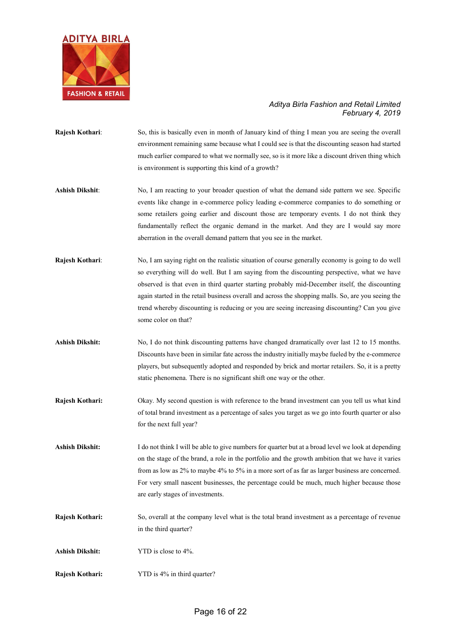

- **Rajesh Kothari:** So, this is basically even in month of January kind of thing I mean you are seeing the overall environment remaining same because what I could see is that the discounting season had started much earlier compared to what we normally see, so is it more like a discount driven thing which is environment is supporting this kind of a growth?
- **Ashish Dikshit**: No, I am reacting to your broader question of what the demand side pattern we see. Specific events like change in e-commerce policy leading e-commerce companies to do something or some retailers going earlier and discount those are temporary events. I do not think they fundamentally reflect the organic demand in the market. And they are I would say more aberration in the overall demand pattern that you see in the market.
- **Rajesh Kothari**: No, I am saying right on the realistic situation of course generally economy is going to do well so everything will do well. But I am saying from the discounting perspective, what we have observed is that even in third quarter starting probably mid-December itself, the discounting again started in the retail business overall and across the shopping malls. So, are you seeing the trend whereby discounting is reducing or you are seeing increasing discounting? Can you give some color on that?
- **Ashish Dikshit:** No, I do not think discounting patterns have changed dramatically over last 12 to 15 months. Discounts have been in similar fate across the industry initially maybe fueled by the e-commerce players, but subsequently adopted and responded by brick and mortar retailers. So, it is a pretty static phenomena. There is no significant shift one way or the other.
- **Rajesh Kothari:** Okay. My second question is with reference to the brand investment can you tell us what kind of total brand investment as a percentage of sales you target as we go into fourth quarter or also for the next full year?
- **Ashish Dikshit:** I do not think I will be able to give numbers for quarter but at a broad level we look at depending on the stage of the brand, a role in the portfolio and the growth ambition that we have it varies from as low as 2% to maybe 4% to 5% in a more sort of as far as larger business are concerned. For very small nascent businesses, the percentage could be much, much higher because those are early stages of investments.
- **Rajesh Kothari:** So, overall at the company level what is the total brand investment as a percentage of revenue in the third quarter?
- **Ashish Dikshit:** YTD is close to 4%.
- **Rajesh Kothari:** YTD is 4% in third quarter?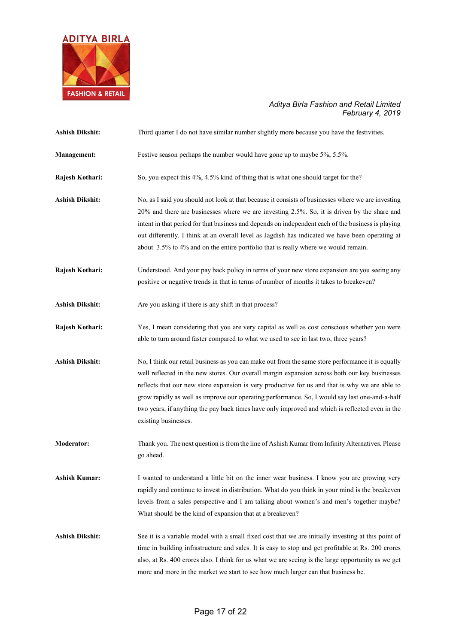

| <b>Ashish Dikshit:</b> | Third quarter I do not have similar number slightly more because you have the festivities.                                                                                                                                                                                                                                                                                                                                                                                                                                        |
|------------------------|-----------------------------------------------------------------------------------------------------------------------------------------------------------------------------------------------------------------------------------------------------------------------------------------------------------------------------------------------------------------------------------------------------------------------------------------------------------------------------------------------------------------------------------|
| <b>Management:</b>     | Festive season perhaps the number would have gone up to maybe 5%, 5.5%.                                                                                                                                                                                                                                                                                                                                                                                                                                                           |
| Rajesh Kothari:        | So, you expect this 4%, 4.5% kind of thing that is what one should target for the?                                                                                                                                                                                                                                                                                                                                                                                                                                                |
| <b>Ashish Dikshit:</b> | No, as I said you should not look at that because it consists of businesses where we are investing<br>20% and there are businesses where we are investing 2.5%. So, it is driven by the share and<br>intent in that period for that business and depends on independent each of the business is playing<br>out differently. I think at an overall level as Jagdish has indicated we have been operating at<br>about 3.5% to 4% and on the entire portfolio that is really where we would remain.                                  |
| Rajesh Kothari:        | Understood. And your pay back policy in terms of your new store expansion are you seeing any<br>positive or negative trends in that in terms of number of months it takes to breakeven?                                                                                                                                                                                                                                                                                                                                           |
| <b>Ashish Dikshit:</b> | Are you asking if there is any shift in that process?                                                                                                                                                                                                                                                                                                                                                                                                                                                                             |
| Rajesh Kothari:        | Yes, I mean considering that you are very capital as well as cost conscious whether you were<br>able to turn around faster compared to what we used to see in last two, three years?                                                                                                                                                                                                                                                                                                                                              |
| <b>Ashish Dikshit:</b> | No, I think our retail business as you can make out from the same store performance it is equally<br>well reflected in the new stores. Our overall margin expansion across both our key businesses<br>reflects that our new store expansion is very productive for us and that is why we are able to<br>grow rapidly as well as improve our operating performance. So, I would say last one-and-a-half<br>two years, if anything the pay back times have only improved and which is reflected even in the<br>existing businesses. |
| <b>Moderator:</b>      | Thank you. The next question is from the line of Ashish Kumar from Infinity Alternatives. Please<br>go ahead.                                                                                                                                                                                                                                                                                                                                                                                                                     |
| <b>Ashish Kumar:</b>   | I wanted to understand a little bit on the inner wear business. I know you are growing very<br>rapidly and continue to invest in distribution. What do you think in your mind is the breakeven<br>levels from a sales perspective and I am talking about women's and men's together maybe?<br>What should be the kind of expansion that at a breakeven?                                                                                                                                                                           |
| <b>Ashish Dikshit:</b> | See it is a variable model with a small fixed cost that we are initially investing at this point of<br>time in building infrastructure and sales. It is easy to stop and get profitable at Rs. 200 crores<br>also, at Rs. 400 crores also. I think for us what we are seeing is the large opportunity as we get<br>more and more in the market we start to see how much larger can that business be.                                                                                                                              |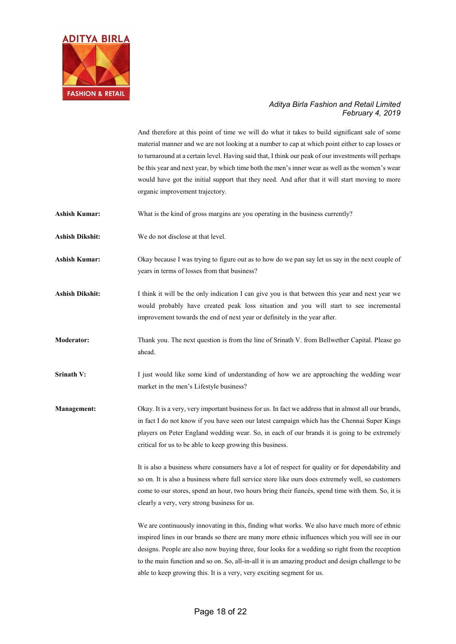

And therefore at this point of time we will do what it takes to build significant sale of some material manner and we are not looking at a number to cap at which point either to cap losses or to turnaround at a certain level. Having said that, I think our peak of our investments will perhaps be this year and next year, by which time both the men's inner wear as well as the women's wear would have got the initial support that they need. And after that it will start moving to more organic improvement trajectory.

Ashish Kumar: What is the kind of gross margins are you operating in the business currently?

**Ashish Dikshit:** We do not disclose at that level.

**Ashish Kumar:** Okay because I was trying to figure out as to how do we pan say let us say in the next couple of years in terms of losses from that business?

- **Ashish Dikshit:** I think it will be the only indication I can give you is that between this year and next year we would probably have created peak loss situation and you will start to see incremental improvement towards the end of next year or definitely in the year after.
- **Moderator:** Thank you. The next question is from the line of Srinath V. from Bellwether Capital. Please go ahead.
- **Srinath V:** I just would like some kind of understanding of how we are approaching the wedding wear market in the men's Lifestyle business?

**Management:** Okay. It is a very, very important business for us. In fact we address that in almost all our brands, in fact I do not know if you have seen our latest campaign which has the Chennai Super Kings players on Peter England wedding wear. So, in each of our brands it is going to be extremely critical for us to be able to keep growing this business.

> It is also a business where consumers have a lot of respect for quality or for dependability and so on. It is also a business where full service store like ours does extremely well, so customers come to our stores, spend an hour, two hours bring their fiancés, spend time with them. So, it is clearly a very, very strong business for us.

> We are continuously innovating in this, finding what works. We also have much more of ethnic inspired lines in our brands so there are many more ethnic influences which you will see in our designs. People are also now buying three, four looks for a wedding so right from the reception to the main function and so on. So, all-in-all it is an amazing product and design challenge to be able to keep growing this. It is a very, very exciting segment for us.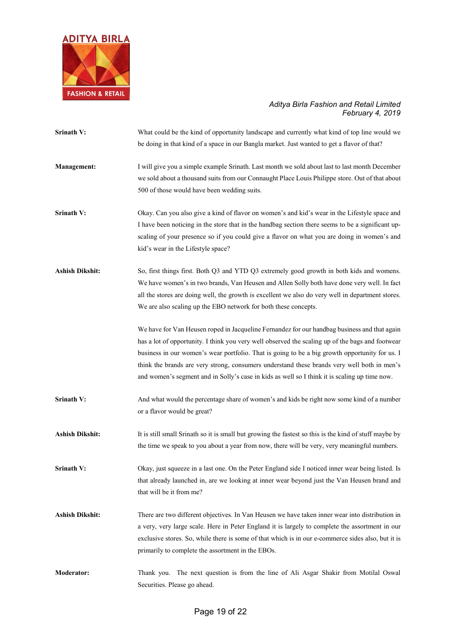

**Srinath V:** What could be the kind of opportunity landscape and currently what kind of top line would we be doing in that kind of a space in our Bangla market. Just wanted to get a flavor of that? **Management:** I will give you a simple example Srinath. Last month we sold about last to last month December we sold about a thousand suits from our Connaught Place Louis Philippe store. Out of that about 500 of those would have been wedding suits. **Srinath V:** Okay. Can you also give a kind of flavor on women's and kid's wear in the Lifestyle space and I have been noticing in the store that in the handbag section there seems to be a significant upscaling of your presence so if you could give a flavor on what you are doing in women's and kid's wear in the Lifestyle space? **Ashish Dikshit:** So, first things first. Both Q3 and YTD Q3 extremely good growth in both kids and womens. We have women's in two brands, Van Heusen and Allen Solly both have done very well. In fact all the stores are doing well, the growth is excellent we also do very well in department stores. We are also scaling up the EBO network for both these concepts. We have for Van Heusen roped in Jacqueline Fernandez for our handbag business and that again has a lot of opportunity. I think you very well observed the scaling up of the bags and footwear business in our women's wear portfolio. That is going to be a big growth opportunity for us. I think the brands are very strong, consumers understand these brands very well both in men's and women's segment and in Solly's case in kids as well so I think it is scaling up time now. **Srinath V:** And what would the percentage share of women's and kids be right now some kind of a number or a flavor would be great? **Ashish Dikshit:** It is still small Srinath so it is small but growing the fastest so this is the kind of stuff maybe by the time we speak to you about a year from now, there will be very, very meaningful numbers. **Srinath V:** Okay, just squeeze in a last one. On the Peter England side I noticed inner wear being listed. Is that already launched in, are we looking at inner wear beyond just the Van Heusen brand and that will be it from me? **Ashish Dikshit:** There are two different objectives. In Van Heusen we have taken inner wear into distribution in a very, very large scale. Here in Peter England it is largely to complete the assortment in our exclusive stores. So, while there is some of that which is in our e-commerce sides also, but it is primarily to complete the assortment in the EBOs. **Moderator:** Thank you. The next question is from the line of Ali Asgar Shakir from Motilal Oswal Securities. Please go ahead.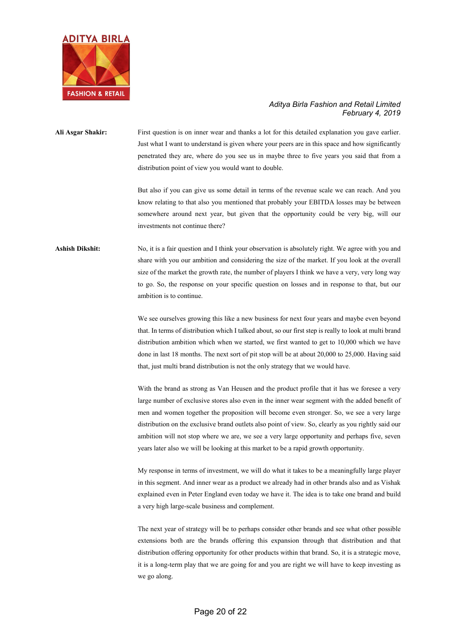

**Ali Asgar Shakir:** First question is on inner wear and thanks a lot for this detailed explanation you gave earlier. Just what I want to understand is given where your peers are in this space and how significantly penetrated they are, where do you see us in maybe three to five years you said that from a distribution point of view you would want to double.

> But also if you can give us some detail in terms of the revenue scale we can reach. And you know relating to that also you mentioned that probably your EBITDA losses may be between somewhere around next year, but given that the opportunity could be very big, will our investments not continue there?

Ashish Dikshit: No, it is a fair question and I think your observation is absolutely right. We agree with you and share with you our ambition and considering the size of the market. If you look at the overall size of the market the growth rate, the number of players I think we have a very, very long way to go. So, the response on your specific question on losses and in response to that, but our ambition is to continue.

> We see ourselves growing this like a new business for next four years and maybe even beyond that. In terms of distribution which I talked about, so our first step is really to look at multi brand distribution ambition which when we started, we first wanted to get to 10,000 which we have done in last 18 months. The next sort of pit stop will be at about 20,000 to 25,000. Having said that, just multi brand distribution is not the only strategy that we would have.

> With the brand as strong as Van Heusen and the product profile that it has we foresee a very large number of exclusive stores also even in the inner wear segment with the added benefit of men and women together the proposition will become even stronger. So, we see a very large distribution on the exclusive brand outlets also point of view. So, clearly as you rightly said our ambition will not stop where we are, we see a very large opportunity and perhaps five, seven years later also we will be looking at this market to be a rapid growth opportunity.

> My response in terms of investment, we will do what it takes to be a meaningfully large player in this segment. And inner wear as a product we already had in other brands also and as Vishak explained even in Peter England even today we have it. The idea is to take one brand and build a very high large-scale business and complement.

> The next year of strategy will be to perhaps consider other brands and see what other possible extensions both are the brands offering this expansion through that distribution and that distribution offering opportunity for other products within that brand. So, it is a strategic move, it is a long-term play that we are going for and you are right we will have to keep investing as we go along.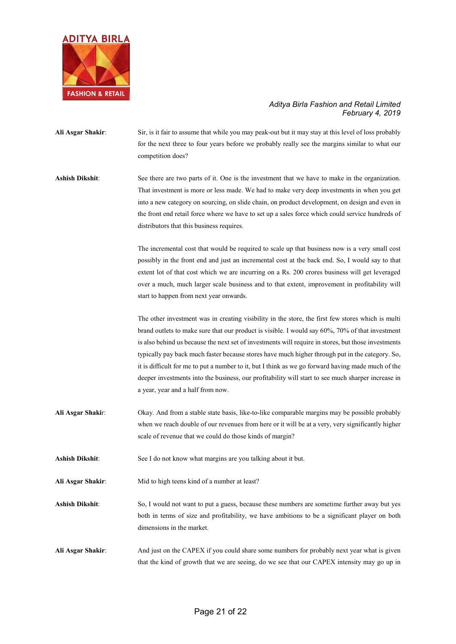

- **Ali Asgar Shakir**: Sir, is it fair to assume that while you may peak-out but it may stay at this level of loss probably for the next three to four years before we probably really see the margins similar to what our competition does?
- **Ashish Dikshit**: See there are two parts of it. One is the investment that we have to make in the organization. That investment is more or less made. We had to make very deep investments in when you get into a new category on sourcing, on slide chain, on product development, on design and even in the front end retail force where we have to set up a sales force which could service hundreds of distributors that this business requires.

The incremental cost that would be required to scale up that business now is a very small cost possibly in the front end and just an incremental cost at the back end. So, I would say to that extent lot of that cost which we are incurring on a Rs. 200 crores business will get leveraged over a much, much larger scale business and to that extent, improvement in profitability will start to happen from next year onwards.

The other investment was in creating visibility in the store, the first few stores which is multi brand outlets to make sure that our product is visible. I would say 60%, 70% of that investment is also behind us because the next set of investments will require in stores, but those investments typically pay back much faster because stores have much higher through put in the category. So, it is difficult for me to put a number to it, but I think as we go forward having made much of the deeper investments into the business, our profitability will start to see much sharper increase in a year, year and a half from now.

- **Ali Asgar Shaki**r: Okay. And from a stable state basis, like-to-like comparable margins may be possible probably when we reach double of our revenues from here or it will be at a very, very significantly higher scale of revenue that we could do those kinds of margin?
- **Ashish Dikshit**: See I do not know what margins are you talking about it but.
- Ali Asgar Shakir: Mid to high teens kind of a number at least?
- **Ashish Dikshit**: So, I would not want to put a guess, because these numbers are sometime further away but yes both in terms of size and profitability, we have ambitions to be a significant player on both dimensions in the market.
- **Ali Asgar Shakir**: And just on the CAPEX if you could share some numbers for probably next year what is given that the kind of growth that we are seeing, do we see that our CAPEX intensity may go up in